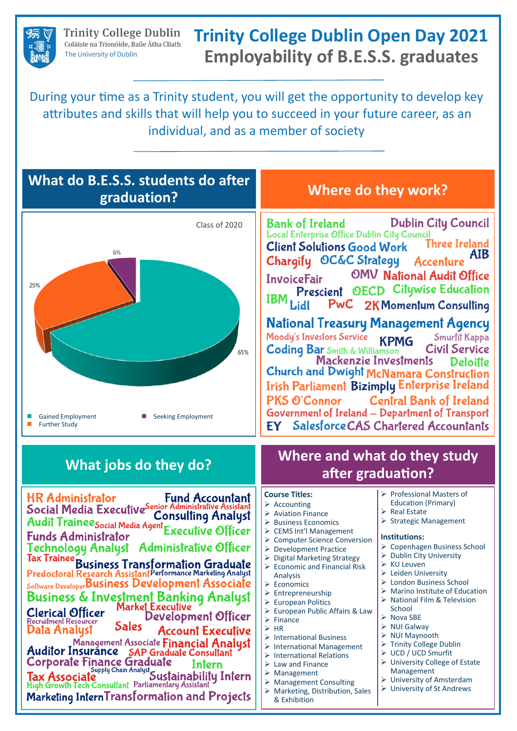**Trinity College Dublin** Coláiste na Tríonóide, Baile Átha Cliath The University of Dublin

## **Trinity College Dublin Open Day 2021 Employability of B.E.S.S. graduates**

During your time as a Trinity student, you will get the opportunity to develop key attributes and skills that will help you to succeed in your future career, as an individual, and as a member of society